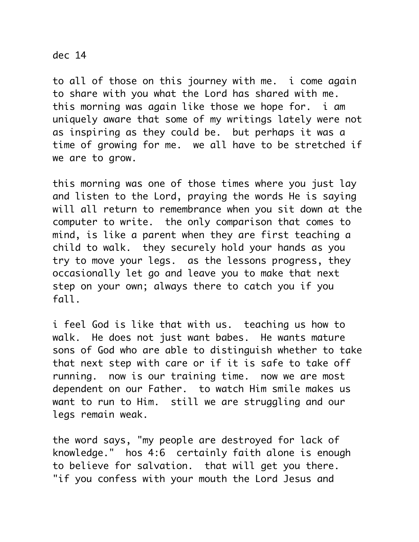## dec 14

to all of those on this journey with me. i come again to share with you what the Lord has shared with me. this morning was again like those we hope for. i am uniquely aware that some of my writings lately were not as inspiring as they could be. but perhaps it was a time of growing for me. we all have to be stretched if we are to grow.

this morning was one of those times where you just lay and listen to the Lord, praying the words He is saying will all return to remembrance when you sit down at the computer to write. the only comparison that comes to mind, is like a parent when they are first teaching a child to walk. they securely hold your hands as you try to move your legs. as the lessons progress, they occasionally let go and leave you to make that next step on your own; always there to catch you if you fall.

i feel God is like that with us. teaching us how to walk. He does not just want babes. He wants mature sons of God who are able to distinguish whether to take that next step with care or if it is safe to take off running. now is our training time. now we are most dependent on our Father. to watch Him smile makes us want to run to Him. still we are struggling and our legs remain weak.

the word says, "my people are destroyed for lack of knowledge." hos 4:6 certainly faith alone is enough to believe for salvation. that will get you there. "if you confess with your mouth the Lord Jesus and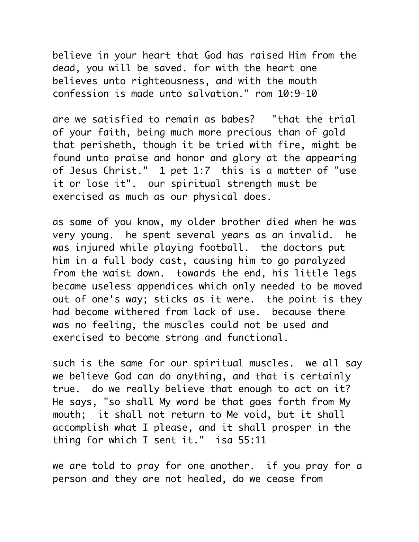believe in your heart that God has raised Him from the dead, you will be saved. for with the heart one believes unto righteousness, and with the mouth confession is made unto salvation." rom 10:9-10

are we satisfied to remain as babes? "that the trial of your faith, being much more precious than of gold that perisheth, though it be tried with fire, might be found unto praise and honor and glory at the appearing of Jesus Christ." 1 pet 1:7 this is a matter of "use it or lose it". our spiritual strength must be exercised as much as our physical does.

as some of you know, my older brother died when he was very young. he spent several years as an invalid. he was injured while playing football. the doctors put him in a full body cast, causing him to go paralyzed from the waist down. towards the end, his little legs became useless appendices which only needed to be moved out of one's way; sticks as it were. the point is they had become withered from lack of use. because there was no feeling, the muscles could not be used and exercised to become strong and functional.

such is the same for our spiritual muscles. we all say we believe God can do anything, and that is certainly true. do we really believe that enough to act on it? He says, "so shall My word be that goes forth from My mouth; it shall not return to Me void, but it shall accomplish what I please, and it shall prosper in the thing for which I sent it." isa 55:11

we are told to pray for one another. if you pray for a person and they are not healed, do we cease from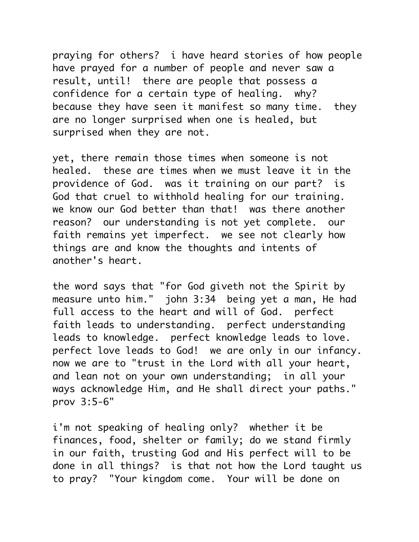praying for others? i have heard stories of how people have prayed for a number of people and never saw a result, until! there are people that possess a confidence for a certain type of healing. why? because they have seen it manifest so many time. they are no longer surprised when one is healed, but surprised when they are not.

yet, there remain those times when someone is not healed. these are times when we must leave it in the providence of God. was it training on our part? is God that cruel to withhold healing for our training. we know our God better than that! was there another reason? our understanding is not yet complete. our faith remains yet imperfect. we see not clearly how things are and know the thoughts and intents of another's heart.

the word says that "for God giveth not the Spirit by measure unto him." john 3:34 being yet a man, He had full access to the heart and will of God. perfect faith leads to understanding. perfect understanding leads to knowledge. perfect knowledge leads to love. perfect love leads to God! we are only in our infancy. now we are to "trust in the Lord with all your heart, and lean not on your own understanding; in all your ways acknowledge Him, and He shall direct your paths." prov 3:5-6"

i'm not speaking of healing only? whether it be finances, food, shelter or family; do we stand firmly in our faith, trusting God and His perfect will to be done in all things? is that not how the Lord taught us to pray? "Your kingdom come. Your will be done on